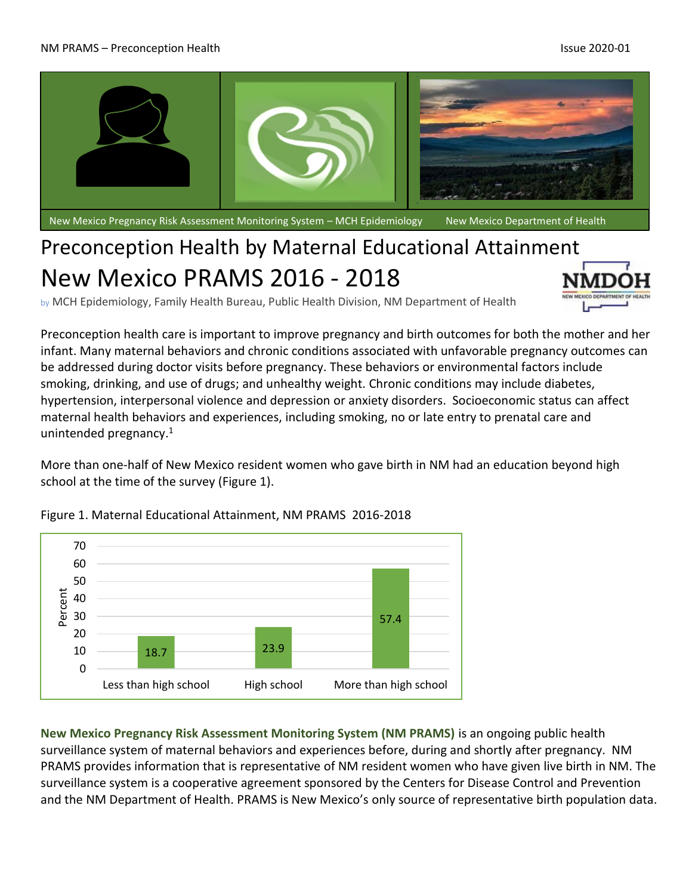

New Mexico Pregnancy Risk Assessment Monitoring System – MCH Epidemiology New Mexico Department of Health

## Preconception Health by Maternal Educational Attainment New Mexico PRAMS 2016 - 2018

by MCH Epidemiology, Family Health Bureau, Public Health Division, NM Department of Health

Preconception health care is important to improve pregnancy and birth outcomes for both the mother and her infant. Many maternal behaviors and chronic conditions associated with unfavorable pregnancy outcomes can be addressed during doctor visits before pregnancy. These behaviors or environmental factors include smoking, drinking, and use of drugs; and unhealthy weight. Chronic conditions may include diabetes, hypertension, interpersonal violence and depression or anxiety disorders. Socioeconomic status can affect maternal health behaviors and experiences, including smoking, no or late entry to prenatal care and unintended pregnancy. 1

More than one-half of New Mexico resident women who gave birth in NM had an education beyond high school at the time of the survey (Figure 1).



Figure 1. Maternal Educational Attainment, NM PRAMS 2016-2018

**New Mexico Pregnancy Risk Assessment Monitoring System (NM PRAMS)** is an ongoing public health surveillance system of maternal behaviors and experiences before, during and shortly after pregnancy. NM PRAMS provides information that is representative of NM resident women who have given live birth in NM. The surveillance system is a cooperative agreement sponsored by the Centers for Disease Control and Prevention and the NM Department of Health. PRAMS is New Mexico's only source of representative birth population data.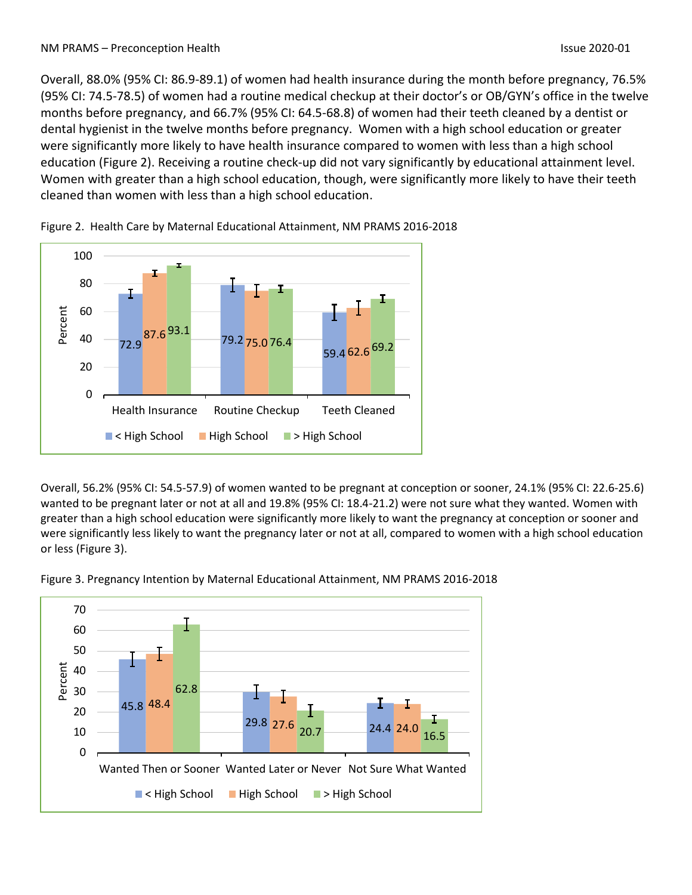Overall, 88.0% (95% CI: 86.9-89.1) of women had health insurance during the month before pregnancy, 76.5% (95% CI: 74.5-78.5) of women had a routine medical checkup at their doctor's or OB/GYN's office in the twelve months before pregnancy, and 66.7% (95% CI: 64.5-68.8) of women had their teeth cleaned by a dentist or dental hygienist in the twelve months before pregnancy. Women with a high school education or greater were significantly more likely to have health insurance compared to women with less than a high school education (Figure 2). Receiving a routine check-up did not vary significantly by educational attainment level. Women with greater than a high school education, though, were significantly more likely to have their teeth cleaned than women with less than a high school education.



![](_page_1_Figure_4.jpeg)

Overall, 56.2% (95% CI: 54.5-57.9) of women wanted to be pregnant at conception or sooner, 24.1% (95% CI: 22.6-25.6) wanted to be pregnant later or not at all and 19.8% (95% CI: 18.4-21.2) were not sure what they wanted. Women with greater than a high school education were significantly more likely to want the pregnancy at conception or sooner and were significantly less likely to want the pregnancy later or not at all, compared to women with a high school education or less (Figure 3).

![](_page_1_Figure_6.jpeg)

Figure 3. Pregnancy Intention by Maternal Educational Attainment, NM PRAMS 2016-2018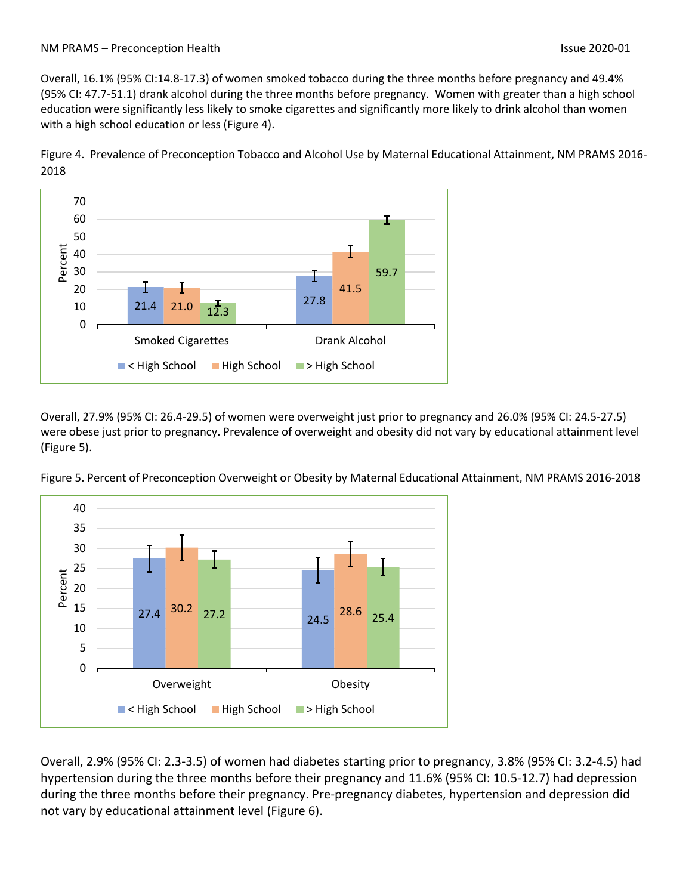Overall, 16.1% (95% CI:14.8-17.3) of women smoked tobacco during the three months before pregnancy and 49.4% (95% CI: 47.7-51.1) drank alcohol during the three months before pregnancy. Women with greater than a high school education were significantly less likely to smoke cigarettes and significantly more likely to drink alcohol than women with a high school education or less (Figure 4).

Figure 4. Prevalence of Preconception Tobacco and Alcohol Use by Maternal Educational Attainment, NM PRAMS 2016- 2018

![](_page_2_Figure_4.jpeg)

Overall, 27.9% (95% CI: 26.4-29.5) of women were overweight just prior to pregnancy and 26.0% (95% CI: 24.5-27.5) were obese just prior to pregnancy. Prevalence of overweight and obesity did not vary by educational attainment level (Figure 5).

![](_page_2_Figure_6.jpeg)

Figure 5. Percent of Preconception Overweight or Obesity by Maternal Educational Attainment, NM PRAMS 2016-2018

Overall, 2.9% (95% CI: 2.3-3.5) of women had diabetes starting prior to pregnancy, 3.8% (95% CI: 3.2-4.5) had hypertension during the three months before their pregnancy and 11.6% (95% CI: 10.5-12.7) had depression during the three months before their pregnancy. Pre-pregnancy diabetes, hypertension and depression did not vary by educational attainment level (Figure 6).